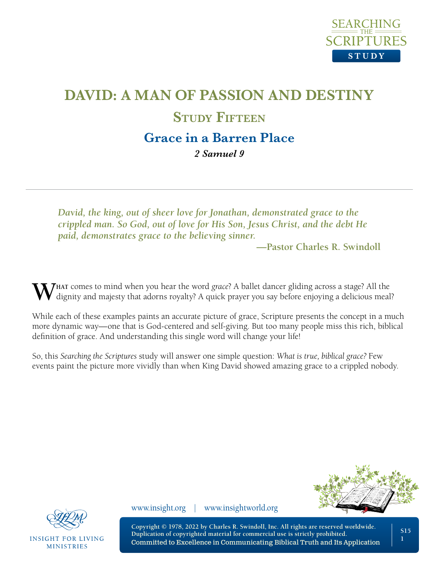

# **DAVID: A MAN OF PASSION AND DESTINY STUDY FIFTEEN Grace in a Barren Place**

*2 Samuel 9*

*David, the king, out of sheer love for Jonathan, demonstrated grace to the crippled man. So God, out of love for His Son, Jesus Christ, and the debt He paid, demonstrates grace to the believing sinner.*

**—Pastor Charles R. Swindoll**

W dignity and majesty that adorns royalty? A quick prayer you say before enjoying a delicious meal?

While each of these examples paints an accurate picture of grace, Scripture presents the concept in a much more dynamic way—one that is God-centered and self-giving. But too many people miss this rich, biblical definition of grace. And understanding this single word will change your life!

So, this *Searching the Scriptures* study will answer one simple question: *What is true, biblical grace?* Few events paint the picture more vividly than when King David showed amazing grace to a crippled nobody.





**INSIGHT FOR LIVING MINISTRIES** 

www.insight.org | www.insightworld.org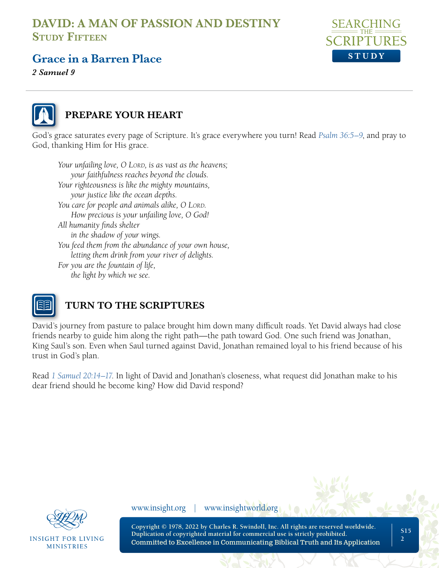

# **Grace in a Barren Place**

*2 Samuel 9*



### **PREPARE YOUR HEART**

God's grace saturates every page of Scripture. It's grace everywhere you turn! Read *[Psalm 36:5–9](https://www.biblegateway.com/passage/?search=Psalm+36&version=NLT;NASB1995)*, and pray to God, thanking Him for His grace.

*Your unfailing love, O LORD, is as vast as the heavens; your faithfulness reaches beyond the clouds. Your righteousness is like the mighty mountains, your justice like the ocean depths. You care for people and animals alike, O LORD. How precious is your unfailing love, O God! All humanity finds shelter in the shadow of your wings. You feed them from the abundance of your own house, letting them drink from your river of delights. For you are the fountain of life, the light by which we see.* 



### **TURN TO THE SCRIPTURES**

David's journey from pasture to palace brought him down many difficult roads. Yet David always had close friends nearby to guide him along the right path—the path toward God. One such friend was Jonathan, King Saul's son. Even when Saul turned against David, Jonathan remained loyal to his friend because of his trust in God's plan.

Read *[1 Samuel 20:14–17](https://www.biblegateway.com/passage/?search=1+Samuel+20%3A14%E2%80%9317&version=NLT;NASB1995)*. In light of David and Jonathan's closeness, what request did Jonathan make to his dear friend should he become king? How did David respond?



**INSIGHT FOR LIVING MINISTRIES** 

www.insight.org | www.insightworld.org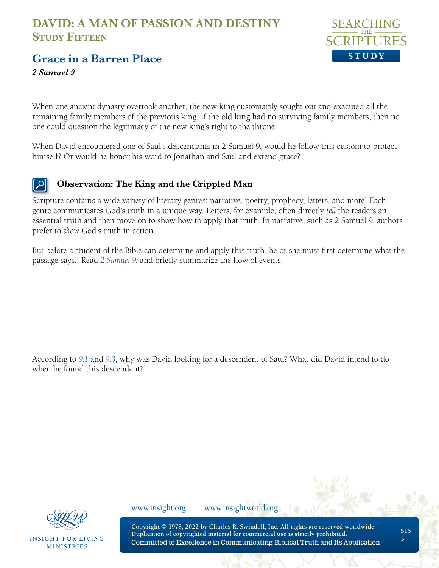

### **Grace in a Barren Place**

*2 Samuel 9*

When one ancient dynasty overtook another, the new king customarily sought out and executed all the remaining family members of the previous king. If the old king had no surviving family members, then no one could question the legitimacy of the new king's right to the throne.

When David encountered one of Saul's descendants in 2 Samuel 9, would he follow this custom to protect himself? Or would he honor his word to Jonathan and Saul and extend grace?

### **Observation: The King and the Crippled Man**

Scripture contains a wide variety of literary genres: narrative, poetry, prophecy, letters, and more! Each genre communicates God's truth in a unique way. Letters, for example, often directly *tell* the readers an essential truth and then move on to show how to apply that truth. In narrative, such as 2 Samuel 9, authors prefer to *show* God's truth in action.

But before a student of the Bible can determine and apply this truth, he or she must first determine what the passage says.<sup>1</sup> Read [2 Samuel 9](https://www.biblegateway.com/passage/?search=2+Samuel+9&version=NLT;NASB1995), and briefly summarize the flow of events.

According to *9:1* [and](https://www.biblegateway.com/passage/?search=2+Samuel+9%3A1%2C+3&version=NLT;NASB1995) *9:3*, why was David looking for a descendent of Saul? What did David intend to do when he found this descendent?



**INSIGHT FOR LIVING MINISTRIES** 

www.insight.org | www.insightworld.org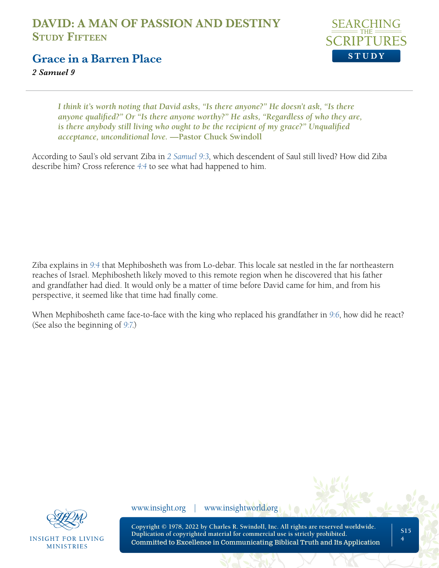

### **Grace in a Barren Place**

*2 Samuel 9*

*I think it's worth noting that David asks, "Is there anyone?" He doesn't ask, "Is there anyone qualified?" Or "Is there anyone worthy?" He asks, "Regardless of who they are, is there anybody still living who ought to be the recipient of my grace?" Unqualified acceptance, unconditional love.* **—Pastor Chuck Swindoll**

According to Saul's old servant Ziba in *[2 Samuel 9:3](https://www.biblegateway.com/passage/?search=2+Samuel+9%3A3&version=NLT;NASB1995)*, which descendent of Saul still lived? How did Ziba describe him? Cross reference *[4:4](https://www.biblegateway.com/passage/?search=2+Samuel+4%3A4&version=NLT;NASB1995)* to see what had happened to him.

Ziba explains in *[9:4](https://www.biblegateway.com/passage/?search=2+Samuel+9%3A4&version=NLT;NASB1995)* that Mephibosheth was from Lo-debar. This locale sat nestled in the far northeastern reaches of Israel. Mephibosheth likely moved to this remote region when he discovered that his father and grandfather had died. It would only be a matter of time before David came for him, and from his perspective, it seemed like that time had finally come.

When Mephibosheth came face-to-face with the king who replaced his grandfather in *[9:6](https://www.biblegateway.com/passage/?search=2+Samuel+9%3A6&version=NLT;NASB1995)*, how did he react? (See also the beginning of *[9:7](https://www.biblegateway.com/passage/?search=2+Samuel+9%3A7&version=NLT;NASB1995)*.)



**INSIGHT FOR LIVING MINISTRIES** 

www.insight.org | www.insightworld.org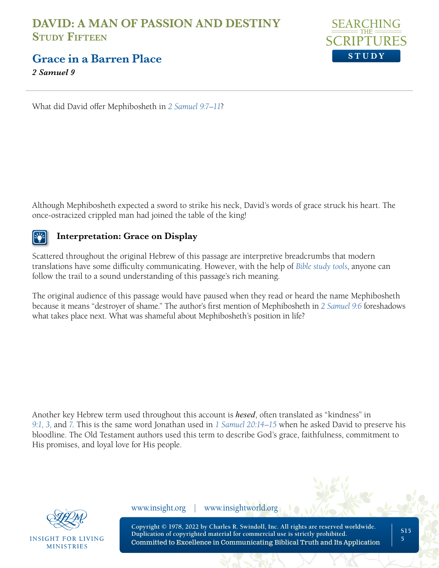

**Grace in a Barren Place**

*2 Samuel 9*

What did David offer Mephibosheth in *[2 Samuel 9:7–11](https://www.biblegateway.com/passage/?search=2+Samuel+9%3A7%E2%80%9311&version=NLT;NASB1995)*?

Although Mephibosheth expected a sword to strike his neck, David's words of grace struck his heart. The once-ostracized crippled man had joined the table of the king!

### **Interpretation: Grace on Display**

Scattered throughout the original Hebrew of this passage are interpretive breadcrumbs that modern translations have some difficulty communicating. However, with the help of *[Bible study tools](https://netbible.org/bible/2+Samuel+9)*, anyone can follow the trail to a sound understanding of this passage's rich meaning.

The original audience of this passage would have paused when they read or heard the name Mephibosheth because it means "destroyer of shame." The author's first mention of Mephibosheth in *[2 Samuel 9:6](https://www.biblegateway.com/passage/?search=2+Samuel+9%3A6&version=NLT;NASB1995)* foreshadows what takes place next. What was shameful about Mephibosheth's position in life?

Another key Hebrew term used throughout this account is *hesed*, often translated as "kindness" in *[9:1, 3,](https://www.biblegateway.com/passage/?search=2+Samuel+9%3A1%2C+3%2C+7&version=NLT;NASB1995)* and *7*. This is the same word Jonathan used in *[1 Samuel 20:14–15](https://www.biblegateway.com/passage/?search=1+Samuel+20%3A14%E2%80%9315&version=NLT;NASB1995)* when he asked David to preserve his bloodline. The Old Testament authors used this term to describe God's grace, faithfulness, commitment to His promises, and loyal love for His people.



INSIGHT FOR LIVING **MINISTRIES** 

www.insight.org | www.insightworld.org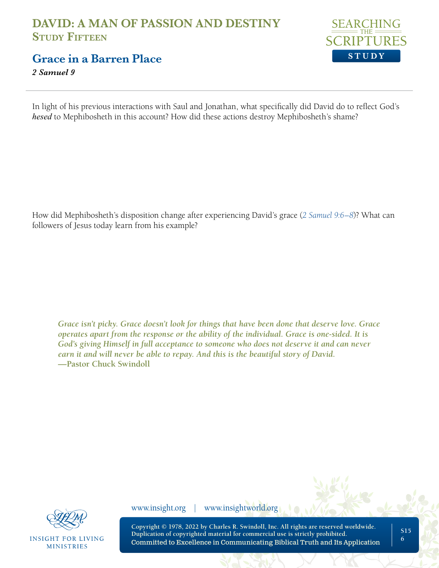

**Grace in a Barren Place**

*2 Samuel 9*

In light of his previous interactions with Saul and Jonathan, what specifically did David do to reflect God's *hesed* to Mephibosheth in this account? How did these actions destroy Mephibosheth's shame?

How did Mephibosheth's disposition change after experiencing David's grace (*[2 Samuel 9:6–8](https://www.biblegateway.com/passage/?search=2+Samuel+9%3A6%E2%80%938&version=NLT;NASB1995)*)? What can followers of Jesus today learn from his example?

*Grace isn't picky. Grace doesn't look for things that have been done that deserve love. Grace operates apart from the response or the ability of the individual. Grace is one-sided. It is God's giving Himself in full acceptance to someone who does not deserve it and can never earn it and will never be able to repay. And this is the beautiful story of David.*  **—Pastor Chuck Swindoll**



**INSIGHT FOR LIVING MINISTRIES** 

www.insight.org | www.insightworld.org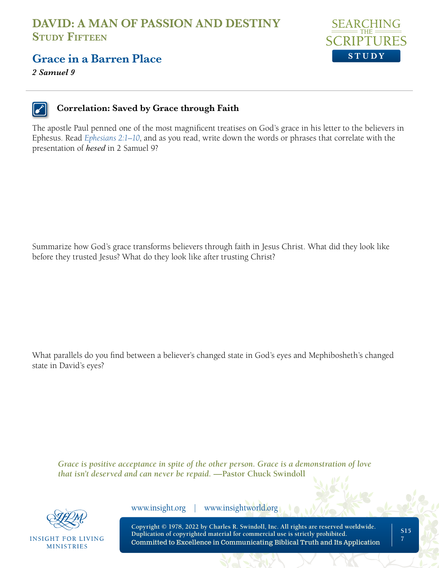

### **Grace in a Barren Place**

*2 Samuel 9*



#### **Correlation: Saved by Grace through Faith**

The apostle Paul penned one of the most magnificent treatises on God's grace in his letter to the believers in Ephesus. Read *[Ephesians 2:1–10](https://www.biblegateway.com/passage/?search=Ephesians+2%3A1%E2%80%9310&version=NLT;NASB1995)*, and as you read, write down the words or phrases that correlate with the presentation of *hesed* in 2 Samuel 9?

Summarize how God's grace transforms believers through faith in Jesus Christ. What did they look like before they trusted Jesus? What do they look like after trusting Christ?

What parallels do you find between a believer's changed state in God's eyes and Mephibosheth's changed state in David's eyes?

*Grace is positive acceptance in spite of the other person. Grace is a demonstration of love that isn't deserved and can never be repaid.* **—Pastor Chuck Swindoll**



**INSIGHT FOR LIVING MINISTRIES** 

www.insight.org | www.insightworld.org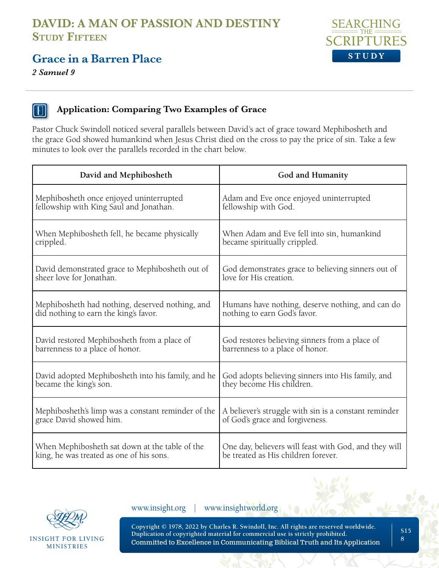# **Grace in a Barren Place**

*2 Samuel 9*





#### **Application: Comparing Two Examples of Grace**

Pastor Chuck Swindoll noticed several parallels between David's act of grace toward Mephibosheth and the grace God showed humankind when Jesus Christ died on the cross to pay the price of sin. Take a few minutes to look over the parallels recorded in the chart below.

| David and Mephibosheth                             | God and Humanity                                      |
|----------------------------------------------------|-------------------------------------------------------|
| Mephibosheth once enjoyed uninterrupted            | Adam and Eve once enjoyed uninterrupted               |
| fellowship with King Saul and Jonathan.            | fellowship with God.                                  |
| When Mephibosheth fell, he became physically       | When Adam and Eve fell into sin, humankind            |
| crippled.                                          | became spiritually crippled.                          |
| David demonstrated grace to Mephibosheth out of    | God demonstrates grace to believing sinners out of    |
| sheer love for Jonathan.                           | love for His creation.                                |
| Mephibosheth had nothing, deserved nothing, and    | Humans have nothing, deserve nothing, and can do      |
| did nothing to earn the king's favor.              | nothing to earn God's favor.                          |
| David restored Mephibosheth from a place of        | God restores believing sinners from a place of        |
| barrenness to a place of honor.                    | barrenness to a place of honor.                       |
| David adopted Mephibosheth into his family, and he | God adopts believing sinners into His family, and     |
| became the king's son.                             | they become His children.                             |
| Mephibosheth's limp was a constant reminder of the | A believer's struggle with sin is a constant reminder |
| grace David showed him.                            | of God's grace and forgiveness.                       |
| When Mephibosheth sat down at the table of the     | One day, believers will feast with God, and they will |
| king, he was treated as one of his sons.           | be treated as His children forever.                   |



**INSIGHT FOR LIVING** MINISTRIES

www.insight.org | www.insightworld.org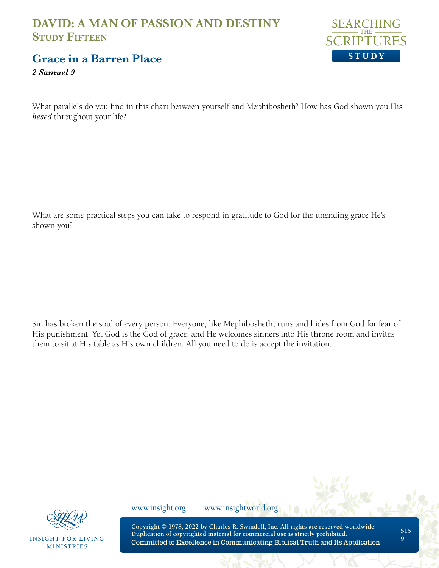

**Grace in a Barren Place**

*2 Samuel 9*

What parallels do you find in this chart between yourself and Mephibosheth? How has God shown you His *hesed* throughout your life?

What are some practical steps you can take to respond in gratitude to God for the unending grace He's shown you?

Sin has broken the soul of every person. Everyone, like Mephibosheth, runs and hides from God for fear of His punishment. Yet God is the God of grace, and He welcomes sinners into His throne room and invites them to sit at His table as His own children. All you need to do is accept the invitation.



**INSIGHT FOR LIVING MINISTRIES** 

www.insight.org | www.insightworld.org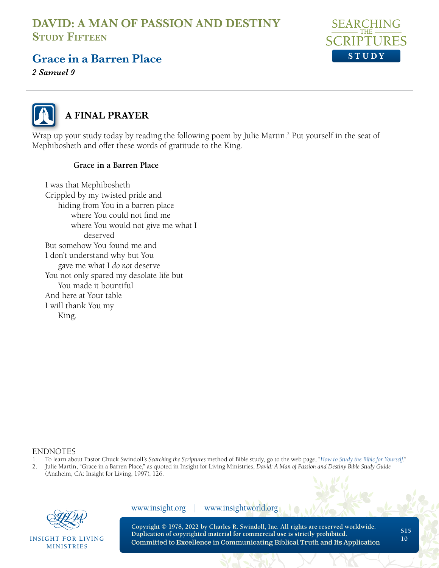

**S15 10**

### **Grace in a Barren Place**

*2 Samuel 9*



## **A FINAL PRAYER**

Wrap up your study today by reading the following poem by Julie Martin.<sup>2</sup> Put yourself in the seat of Mephibosheth and offer these words of gratitude to the King.

#### **Grace in a Barren Place**

I was that Mephibosheth Crippled by my twisted pride and hiding from You in a barren place where You could not find me where You would not give me what I deserved But somehow You found me and I don't understand why but You gave me what I *do not* deserve You not only spared my desolate life but You made it bountiful And here at Your table I will thank You my King.

#### ENDNOTES

- 1. To learn about Pastor Chuck Swindoll's *Searching the Scriptures* method of Bible study, go to the web page, "*[How to Study the Bible for Yourself](https://sts.insight.org/)*."
- 2. Julie Martin, "Grace in a Barren Place," as quoted in Insight for Living Ministries, *David: A Man of Passion and Destiny Bible Study Guide*  (Anaheim, CA: Insight for Living, 1997), 126.



**INSIGHT FOR LIVING MINISTRIES** 

| www.insight.org | www.insightworld.org                                                                                                                                                                                                                                    |  |
|-----------------|---------------------------------------------------------------------------------------------------------------------------------------------------------------------------------------------------------------------------------------------------------|--|
|                 | Copyright © 1978, 2022 by Charles R. Swindoll, Inc. All rights are reserved worldwide.<br>Duplication of copyrighted material for commercial use is strictly prohibited.<br>Committed to Excellence in Communicating Biblical Truth and Its Application |  |